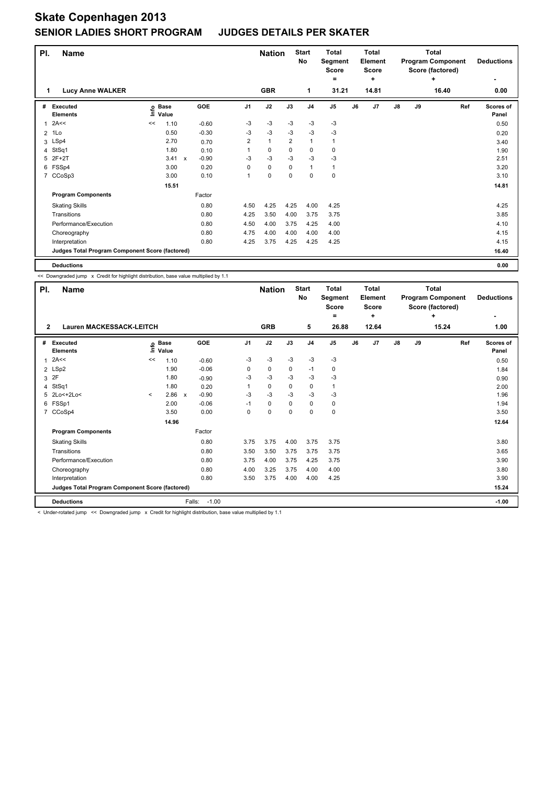## **Skate Copenhagen 2013 SENIOR LADIES SHORT PROGRAM JUDGES DETAILS PER SKATER**

| PI.          | <b>Name</b>                                     |    |                   |                           |         |                | <b>Nation</b> | <b>Start</b><br>No |                | <b>Total</b><br>Segment<br><b>Score</b><br>۰ |    | Total<br>Element<br><b>Score</b><br>٠ |    | <b>Total</b><br><b>Program Component</b><br>Score (factored) | <b>Deductions</b><br>$\overline{\phantom{0}}$ |                    |
|--------------|-------------------------------------------------|----|-------------------|---------------------------|---------|----------------|---------------|--------------------|----------------|----------------------------------------------|----|---------------------------------------|----|--------------------------------------------------------------|-----------------------------------------------|--------------------|
| 1            | <b>Lucy Anne WALKER</b>                         |    |                   |                           |         |                | <b>GBR</b>    |                    | 1              | 31.21                                        |    | 14.81                                 |    |                                                              | 16.40                                         | 0.00               |
| #            | <b>Executed</b><br><b>Elements</b>              |    | o Base<br>⊆ Value |                           | GOE     | J1             | J2            | J3                 | J <sub>4</sub> | J <sub>5</sub>                               | J6 | J <sub>7</sub>                        | J8 | J9                                                           | Ref                                           | Scores of<br>Panel |
| $\mathbf{1}$ | 2A<<                                            | << | 1.10              |                           | $-0.60$ | -3             | -3            | $-3$               | $-3$           | $-3$                                         |    |                                       |    |                                                              |                                               | 0.50               |
| 2            | 1Lo                                             |    | 0.50              |                           | $-0.30$ | -3             | $-3$          | $-3$               | $-3$           | $-3$                                         |    |                                       |    |                                                              |                                               | 0.20               |
| 3            | LSp4                                            |    | 2.70              |                           | 0.70    | $\overline{2}$ | $\mathbf{1}$  | $\overline{2}$     | $\mathbf{1}$   | 1                                            |    |                                       |    |                                                              |                                               | 3.40               |
| 4            | StSq1                                           |    | 1.80              |                           | 0.10    |                | 0             | $\Omega$           | $\mathbf 0$    | 0                                            |    |                                       |    |                                                              |                                               | 1.90               |
| 5            | $2F+2T$                                         |    | 3.41              | $\boldsymbol{\mathsf{x}}$ | $-0.90$ | $-3$           | $-3$          | $-3$               | $-3$           | $-3$                                         |    |                                       |    |                                                              |                                               | 2.51               |
|              | 6 FSSp4                                         |    | 3.00              |                           | 0.20    | 0              | $\mathbf 0$   | $\mathbf 0$        | $\mathbf{1}$   | $\mathbf{1}$                                 |    |                                       |    |                                                              |                                               | 3.20               |
| 7            | CCoSp3                                          |    | 3.00              |                           | 0.10    | 1              | 0             | $\mathbf 0$        | $\mathbf 0$    | 0                                            |    |                                       |    |                                                              |                                               | 3.10               |
|              |                                                 |    | 15.51             |                           |         |                |               |                    |                |                                              |    |                                       |    |                                                              |                                               | 14.81              |
|              | <b>Program Components</b>                       |    |                   |                           | Factor  |                |               |                    |                |                                              |    |                                       |    |                                                              |                                               |                    |
|              | <b>Skating Skills</b>                           |    |                   |                           | 0.80    | 4.50           | 4.25          | 4.25               | 4.00           | 4.25                                         |    |                                       |    |                                                              |                                               | 4.25               |
|              | Transitions                                     |    |                   |                           | 0.80    | 4.25           | 3.50          | 4.00               | 3.75           | 3.75                                         |    |                                       |    |                                                              |                                               | 3.85               |
|              | Performance/Execution                           |    |                   |                           | 0.80    | 4.50           | 4.00          | 3.75               | 4.25           | 4.00                                         |    |                                       |    |                                                              |                                               | 4.10               |
|              | Choreography                                    |    |                   |                           | 0.80    | 4.75           | 4.00          | 4.00               | 4.00           | 4.00                                         |    |                                       |    |                                                              |                                               | 4.15               |
|              | Interpretation                                  |    |                   |                           | 0.80    | 4.25           | 3.75          | 4.25               | 4.25           | 4.25                                         |    |                                       |    |                                                              |                                               | 4.15               |
|              | Judges Total Program Component Score (factored) |    |                   |                           |         |                |               |                    |                |                                              |    |                                       |    |                                                              |                                               | 16.40              |
|              | <b>Deductions</b>                               |    |                   |                           |         |                |               |                    |                |                                              |    |                                       |    |                                                              |                                               | 0.00               |

<< Downgraded jump x Credit for highlight distribution, base value multiplied by 1.1

| PI.            | <b>Name</b>                                     |         |                            |                                      |                | <b>Nation</b> |      | <b>Start</b><br>No | <b>Total</b><br>Segment<br><b>Score</b><br>٠ |    | <b>Total</b><br>Element<br><b>Score</b><br>÷ |               |    | <b>Total</b><br><b>Program Component</b><br>Score (factored)<br>÷ | <b>Deductions</b>         |
|----------------|-------------------------------------------------|---------|----------------------------|--------------------------------------|----------------|---------------|------|--------------------|----------------------------------------------|----|----------------------------------------------|---------------|----|-------------------------------------------------------------------|---------------------------|
| $\overline{2}$ | <b>Lauren MACKESSACK-LEITCH</b>                 |         | <b>GRB</b>                 |                                      | 5              | 26.88         |      | 12.64              |                                              |    | 15.24                                        | 1.00          |    |                                                                   |                           |
| #              | Executed<br><b>Elements</b>                     |         | e Base<br>E Value<br>Value | GOE                                  | J <sub>1</sub> | J2            | J3   | J <sub>4</sub>     | J5                                           | J6 | J7                                           | $\mathsf{J}8$ | J9 | Ref                                                               | <b>Scores of</b><br>Panel |
| 1              | 2A<<                                            | <<      | 1.10                       | $-0.60$                              | -3             | $-3$          | -3   | $-3$               | -3                                           |    |                                              |               |    |                                                                   | 0.50                      |
|                | 2 LSp2                                          |         | 1.90                       | $-0.06$                              | 0              | $\pmb{0}$     | 0    | $-1$               | 0                                            |    |                                              |               |    |                                                                   | 1.84                      |
|                | 3 2F                                            |         | 1.80                       | $-0.90$                              | -3             | $-3$          | -3   | -3                 | $-3$                                         |    |                                              |               |    |                                                                   | 0.90                      |
| 4              | StSq1                                           |         | 1.80                       | 0.20                                 |                | 0             | 0    | 0                  | $\mathbf{1}$                                 |    |                                              |               |    |                                                                   | 2.00                      |
|                | 5 2Lo<+2Lo<                                     | $\prec$ | 2.86                       | $-0.90$<br>$\boldsymbol{\mathsf{x}}$ | -3             | $-3$          | $-3$ | $-3$               | $-3$                                         |    |                                              |               |    |                                                                   | 1.96                      |
| 6              | FSSp1                                           |         | 2.00                       | $-0.06$                              | $-1$           | 0             | 0    | 0                  | 0                                            |    |                                              |               |    |                                                                   | 1.94                      |
| $\overline{7}$ | CCoSp4                                          |         | 3.50                       | 0.00                                 | 0              | 0             | 0    | 0                  | $\pmb{0}$                                    |    |                                              |               |    |                                                                   | 3.50                      |
|                | 14.96                                           |         |                            |                                      |                |               |      |                    |                                              |    |                                              |               |    |                                                                   | 12.64                     |
|                | <b>Program Components</b>                       |         |                            | Factor                               |                |               |      |                    |                                              |    |                                              |               |    |                                                                   |                           |
|                | <b>Skating Skills</b>                           |         |                            | 0.80                                 | 3.75           | 3.75          | 4.00 | 3.75               | 3.75                                         |    |                                              |               |    |                                                                   | 3.80                      |
|                | Transitions                                     |         |                            | 0.80                                 | 3.50           | 3.50          | 3.75 | 3.75               | 3.75                                         |    |                                              |               |    |                                                                   | 3.65                      |
|                | Performance/Execution                           |         |                            | 0.80                                 | 3.75           | 4.00          | 3.75 | 4.25               | 3.75                                         |    |                                              |               |    |                                                                   | 3.90                      |
|                | Choreography                                    |         |                            | 0.80                                 | 4.00           | 3.25          | 3.75 | 4.00               | 4.00                                         |    |                                              |               |    |                                                                   | 3.80                      |
|                | Interpretation                                  |         |                            | 0.80                                 | 3.50           | 3.75          | 4.00 | 4.00               | 4.25                                         |    |                                              |               |    |                                                                   | 3.90                      |
|                | Judges Total Program Component Score (factored) |         |                            |                                      |                |               |      |                    |                                              |    | 15.24                                        |               |    |                                                                   |                           |
|                | <b>Deductions</b>                               |         |                            | $-1.00$<br>Falls:                    |                |               |      |                    |                                              |    |                                              |               |    |                                                                   | $-1.00$                   |

< Under-rotated jump << Downgraded jump x Credit for highlight distribution, base value multiplied by 1.1